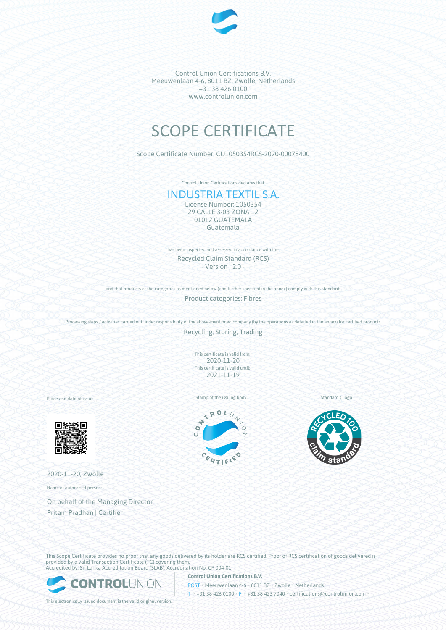

Control Union Certifications B.V. Meeuwenlaan 4-6, 8011 BZ, Zwolle, Netherlands +31 38 426 0100 www.controlunion.com

## SCOPE CERTIFICATE

Scope Certificate Number: CU1050354RCS-2020-00078400

Control Union Certifications declares that

## INDUSTRIA TEXTIL S.A.

License Number: 1050354 29 CALLE 3-03 ZONA 12 01012 GUATEMALA Guatemala

has been inspected and assessed in accordance with the Recycled Claim Standard (RCS) - Version 2.0 -

and that products of the categories as mentioned below (and further specified in the annex) comply with this standard:

Product categories: Fibres

Processing steps / activities carried out under responsibility of the above-mentioned company (by the operations as detailed in the annex) for certified products

Recycling, Storing, Trading

This certificate is valid from: 2020-11-20 This certificate is valid until: 2021-11-19

Place and date of issue:



2020-11-20, Zwolle

Name of authorised person:

On behalf of the Managing Director Pritam Pradhan | Certifier

Stamp of the issuing body Standard's Logo





This Scope Certificate provides no proof that any goods delivered by its holder are RCS certified. Proof of RCS certification of goods delivered is provided by a valid Transaction Certificate (TC) covering them. Accredited by: Sri Lanka Accreditation Board (SLAB), Accreditation No: CP 004-01



**Control Union Certifications B.V.** POST • Meeuwenlaan 4-6 • 8011 BZ • Zwolle • Netherlands T • +31 38 426 0100 • F • +31 38 423 7040 • certifications@controlunion.com •

This electronically issued document is the valid original version.